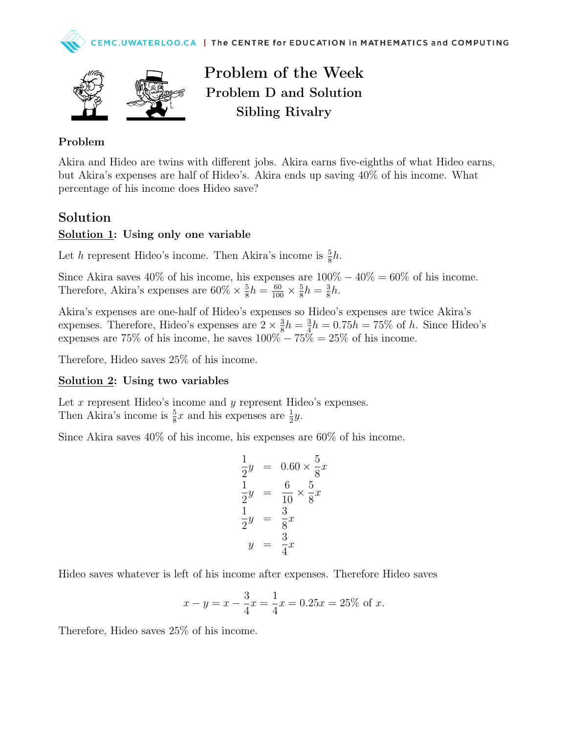

Problem of the Week Problem D and Solution Sibling Rivalry

#### Problem

Akira and Hideo are twins with different jobs. Akira earns five-eighths of what Hideo earns, but Akira's expenses are half of Hideo's. Akira ends up saving 40% of his income. What percentage of his income does Hideo save?

## Solution

### Solution 1: Using only one variable

Let h represent Hideo's income. Then Akira's income is  $\frac{5}{8}h$ .

Since Akira saves  $40\%$  of his income, his expenses are  $100\% - 40\% = 60\%$  of his income. Therefore, Akira's expenses are  $60\% \times \frac{5}{8}$  $\frac{5}{8}h = \frac{60}{100} \times \frac{5}{8}$  $\frac{5}{8}h = \frac{3}{8}$  $\frac{3}{8}h$ .

Akira's expenses are one-half of Hideo's expenses so Hideo's expenses are twice Akira's expenses. Therefore, Hideo's expenses are  $2 \times \frac{3}{8}$  $\frac{3}{8}h = \frac{3}{4}$  $\frac{3}{4}h = 0.75h = 75\%$  of h. Since Hideo's expenses are 75% of his income, he saves  $100\% - 75\% = 25\%$  of his income.

Therefore, Hideo saves 25% of his income.

#### Solution 2: Using two variables

Let x represent Hideo's income and y represent Hideo's expenses. Then Akira's income is  $\frac{5}{8}x$  and his expenses are  $\frac{1}{2}y$ .

Since Akira saves 40% of his income, his expenses are 60% of his income.

$$
\frac{1}{2}y = 0.60 \times \frac{5}{8}x
$$
  

$$
\frac{1}{2}y = \frac{6}{10} \times \frac{5}{8}x
$$
  

$$
\frac{1}{2}y = \frac{3}{8}x
$$
  

$$
y = \frac{3}{4}x
$$

Hideo saves whatever is left of his income after expenses. Therefore Hideo saves

$$
x - y = x - \frac{3}{4}x = \frac{1}{4}x = 0.25x = 25\%
$$
 of x.

Therefore, Hideo saves 25% of his income.